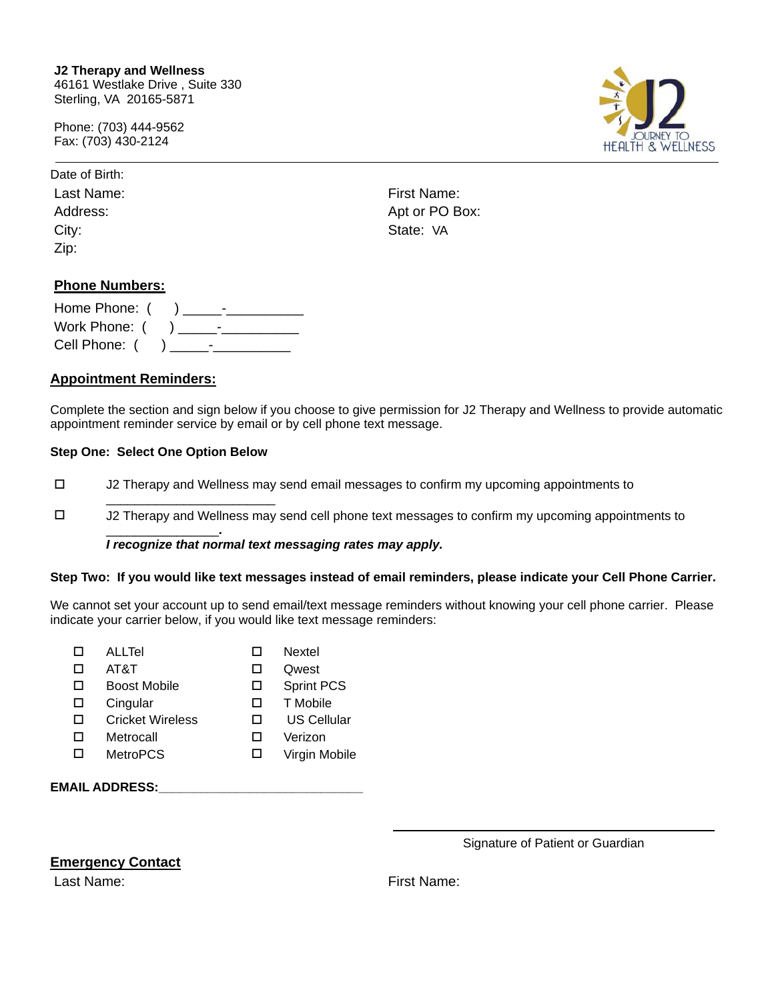Phone: (703) 444-9562 Fax: (703) 430-2124



| Last Namo |
|-----------|
| Address:  |
| City:     |
| Zip:      |

Last Name: Eirst Name: Apt or PO Box: State: VA

# **Phone Numbers:**

| Home Phone: ( |  |
|---------------|--|
|               |  |
| Cell Phone: ( |  |

# **Appointment Reminders:**

Complete the section and sign below if you choose to give permission for J2 Therapy and Wellness to provide automatic appointment reminder service by email or by cell phone text message.

## **Step One: Select One Option Below**

\_\_\_\_\_\_\_\_\_\_\_\_\_\_\_\_\_\_\_\_\_\_\_\_

- J2 Therapy and Wellness may send email messages to confirm my upcoming appointments to
- J2 Therapy and Wellness may send cell phone text messages to confirm my upcoming appointments to

#### \_\_\_\_\_\_\_\_\_\_\_\_\_\_\_\_*. I recognize that normal text messaging rates may apply.*

#### **Step Two: If you would like text messages instead of email reminders, please indicate your Cell Phone Carrier.**

We cannot set your account up to send email/text message reminders without knowing your cell phone carrier. Please indicate your carrier below, if you would like text message reminders:

|    | ALLTel                  |              | Nextel            |
|----|-------------------------|--------------|-------------------|
| ΙI | AT8T                    | $\mathbf{L}$ | Qwest             |
| ΙI | Boost Mobile            | □            | <b>Sprint PCS</b> |
| П  | Cingular                | П            | T Mobile          |
| П  | <b>Cricket Wireless</b> | П            | US Cellular       |
| П  | Metrocall               | П            | Verizon           |
| П  | <b>MetroPCS</b>         | П            | Virgin Mobile     |
|    |                         |              |                   |
|    | <b>EMAIL ADDRESS:</b>   |              |                   |

Signature of Patient or Guardian

# **Emergency Contact**

Last Name: The Contract of the Contract of True Pirst Name: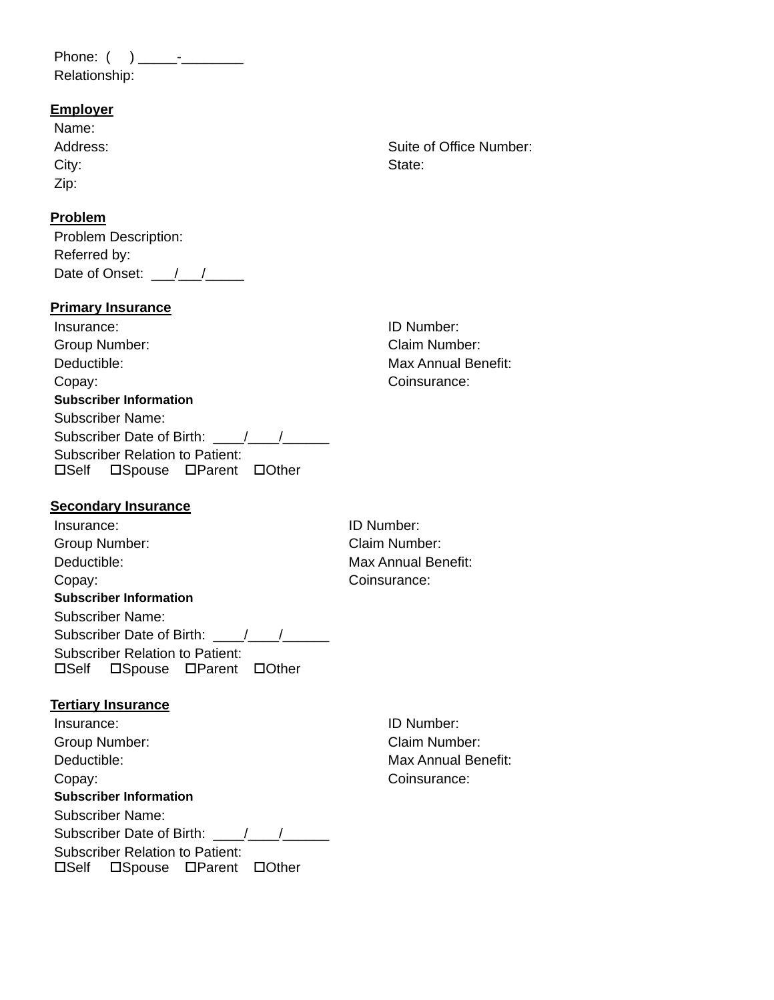Phone: ( ) \_\_\_\_\_-\_\_\_\_\_\_\_\_ Relationship:

# **Employer**

| Name:    |         |
|----------|---------|
| Address: | Suite o |
| City:    | State:  |
| Zip:     |         |

## **Problem**

Problem Description: Referred by: Date of Onset:  $\frac{1}{2}$ 

## **Primary Insurance**

| Insurance:                      |
|---------------------------------|
| Group Number:                   |
| Deductible:                     |
| Copay:                          |
| <b>Subscriber Information</b>   |
| Subscriber Name:                |
|                                 |
| Subscriber Relation to Patient: |
| □Self □Spouse □Parent □Other    |
|                                 |

Suite of Office Number:

ID Number: Claim Number: Max Annual Benefit: Coinsurance:

# **Secondary Insurance**

| Insurance:                                                             |
|------------------------------------------------------------------------|
| Group Number:                                                          |
| Deductible:                                                            |
| Copay:                                                                 |
| <b>Subscriber Information</b>                                          |
| Subscriber Name:                                                       |
| Subscriber Date of Birth: / /                                          |
| <b>Subscriber Relation to Patient:</b><br>□Self □Spouse □Parent □Other |

ID Number: Claim Number: Max Annual Benefit: Coinsurance:

# **Tertiary Insurance**

Insurance: ID Number: Group Number: Claim Number: Deductible: Max Annual Benefit: Copay: Consurance: **Subscriber Information** Subscriber Name: Subscriber Date of Birth: \_\_\_\_/\_\_\_/\_\_\_\_\_\_ Subscriber Relation to Patient: OSelf OSpouse OParent OOther